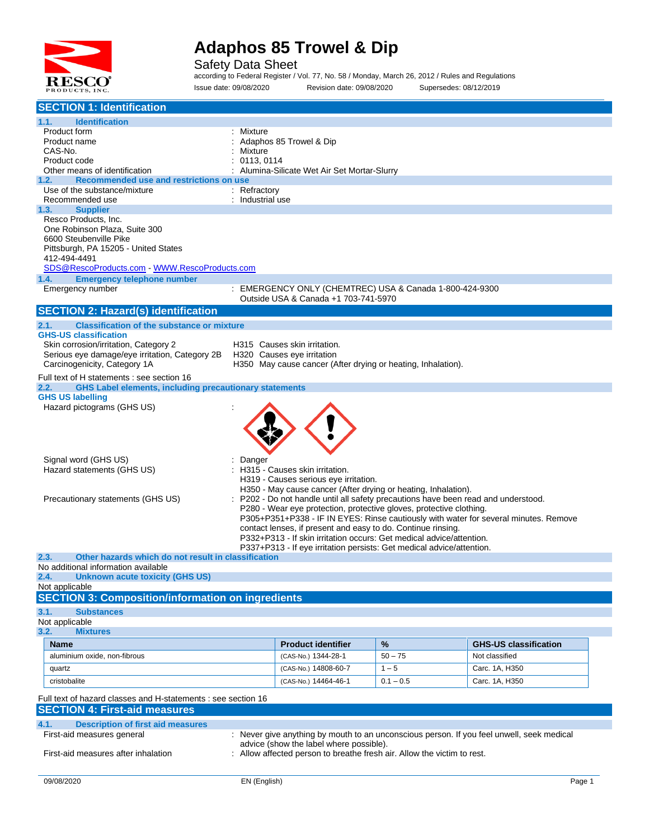

Safety Data Sheet according to Federal Register / Vol. 77, No. 58 / Monday, March 26, 2012 / Rules and Regulations

Issue date: 09/08/2020 Revision date: 09/08/2020 Supersedes: 08/12/2019

| <b>SECTION 1: Identification</b>                                                                               |                  |                                                                                                                                                    |             |                                                                                           |
|----------------------------------------------------------------------------------------------------------------|------------------|----------------------------------------------------------------------------------------------------------------------------------------------------|-------------|-------------------------------------------------------------------------------------------|
| <b>Identification</b><br>1.1.                                                                                  |                  |                                                                                                                                                    |             |                                                                                           |
| Product form                                                                                                   | Mixture          |                                                                                                                                                    |             |                                                                                           |
| Product name<br>CAS-No.                                                                                        | Mixture          | Adaphos 85 Trowel & Dip                                                                                                                            |             |                                                                                           |
| Product code                                                                                                   | 0113, 0114       |                                                                                                                                                    |             |                                                                                           |
| Other means of identification                                                                                  |                  | Alumina-Silicate Wet Air Set Mortar-Slurry                                                                                                         |             |                                                                                           |
| 1.2.<br>Recommended use and restrictions on use                                                                |                  |                                                                                                                                                    |             |                                                                                           |
| Use of the substance/mixture                                                                                   | : Refractory     |                                                                                                                                                    |             |                                                                                           |
| Recommended use<br>1.3.<br><b>Supplier</b>                                                                     | : Industrial use |                                                                                                                                                    |             |                                                                                           |
| Resco Products, Inc.                                                                                           |                  |                                                                                                                                                    |             |                                                                                           |
| One Robinson Plaza, Suite 300                                                                                  |                  |                                                                                                                                                    |             |                                                                                           |
| 6600 Steubenville Pike                                                                                         |                  |                                                                                                                                                    |             |                                                                                           |
| Pittsburgh, PA 15205 - United States                                                                           |                  |                                                                                                                                                    |             |                                                                                           |
| 412-494-4491<br>SDS@RescoProducts.com - WWW.RescoProducts.com                                                  |                  |                                                                                                                                                    |             |                                                                                           |
| <b>Emergency telephone number</b><br>1.4.                                                                      |                  |                                                                                                                                                    |             |                                                                                           |
| Emergency number                                                                                               |                  | : EMERGENCY ONLY (CHEMTREC) USA & Canada 1-800-424-9300                                                                                            |             |                                                                                           |
|                                                                                                                |                  | Outside USA & Canada +1 703-741-5970                                                                                                               |             |                                                                                           |
| <b>SECTION 2: Hazard(s) identification</b>                                                                     |                  |                                                                                                                                                    |             |                                                                                           |
| <b>Classification of the substance or mixture</b><br>2.1.                                                      |                  |                                                                                                                                                    |             |                                                                                           |
| <b>GHS-US classification</b>                                                                                   |                  |                                                                                                                                                    |             |                                                                                           |
| Skin corrosion/irritation, Category 2<br>Serious eye damage/eye irritation, Category 2B                        |                  | H315 Causes skin irritation.<br>H320 Causes eye irritation                                                                                         |             |                                                                                           |
| Carcinogenicity, Category 1A                                                                                   |                  | H350 May cause cancer (After drying or heating, Inhalation).                                                                                       |             |                                                                                           |
| Full text of H statements : see section 16                                                                     |                  |                                                                                                                                                    |             |                                                                                           |
| 2.2.<br><b>GHS Label elements, including precautionary statements</b>                                          |                  |                                                                                                                                                    |             |                                                                                           |
| <b>GHS US labelling</b>                                                                                        |                  |                                                                                                                                                    |             |                                                                                           |
| Hazard pictograms (GHS US)                                                                                     |                  |                                                                                                                                                    |             |                                                                                           |
|                                                                                                                |                  |                                                                                                                                                    |             |                                                                                           |
|                                                                                                                |                  |                                                                                                                                                    |             |                                                                                           |
|                                                                                                                |                  |                                                                                                                                                    |             |                                                                                           |
| Signal word (GHS US)                                                                                           | Danger           |                                                                                                                                                    |             |                                                                                           |
| Hazard statements (GHS US)                                                                                     |                  | H315 - Causes skin irritation.                                                                                                                     |             |                                                                                           |
|                                                                                                                |                  | H319 - Causes serious eye irritation.                                                                                                              |             |                                                                                           |
|                                                                                                                |                  | H350 - May cause cancer (After drying or heating, Inhalation).<br>P202 - Do not handle until all safety precautions have been read and understood. |             |                                                                                           |
| Precautionary statements (GHS US)                                                                              |                  | P280 - Wear eye protection, protective gloves, protective clothing.                                                                                |             |                                                                                           |
|                                                                                                                |                  |                                                                                                                                                    |             | P305+P351+P338 - IF IN EYES: Rinse cautiously with water for several minutes. Remove      |
|                                                                                                                |                  | contact lenses, if present and easy to do. Continue rinsing.                                                                                       |             |                                                                                           |
|                                                                                                                |                  | P332+P313 - If skin irritation occurs: Get medical advice/attention.<br>P337+P313 - If eye irritation persists: Get medical advice/attention.      |             |                                                                                           |
| Other hazards which do not result in classification<br>2.3.                                                    |                  |                                                                                                                                                    |             |                                                                                           |
| No additional information available                                                                            |                  |                                                                                                                                                    |             |                                                                                           |
| <b>Unknown acute toxicity (GHS US)</b><br>2.4.                                                                 |                  |                                                                                                                                                    |             |                                                                                           |
| Not applicable                                                                                                 |                  |                                                                                                                                                    |             |                                                                                           |
| <b>SECTION 3: Composition/information on ingredients</b>                                                       |                  |                                                                                                                                                    |             |                                                                                           |
| 3.1.<br><b>Substances</b>                                                                                      |                  |                                                                                                                                                    |             |                                                                                           |
| Not applicable<br>3.2.<br><b>Mixtures</b>                                                                      |                  |                                                                                                                                                    |             |                                                                                           |
| <b>Name</b>                                                                                                    |                  | <b>Product identifier</b>                                                                                                                          | $\%$        | <b>GHS-US classification</b>                                                              |
| aluminium oxide, non-fibrous                                                                                   |                  | (CAS-No.) 1344-28-1                                                                                                                                | $50 - 75$   | Not classified                                                                            |
| quartz                                                                                                         |                  | (CAS-No.) 14808-60-7                                                                                                                               | $1 - 5$     | Carc. 1A, H350                                                                            |
| cristobalite                                                                                                   |                  | (CAS-No.) 14464-46-1                                                                                                                               | $0.1 - 0.5$ | Carc. 1A, H350                                                                            |
|                                                                                                                |                  |                                                                                                                                                    |             |                                                                                           |
| Full text of hazard classes and H-statements : see section 16<br><b>SECTION 4: First-aid measures</b>          |                  |                                                                                                                                                    |             |                                                                                           |
| 4.1.<br><b>Description of first aid measures</b>                                                               |                  |                                                                                                                                                    |             |                                                                                           |
| First-aid measures general                                                                                     |                  |                                                                                                                                                    |             | : Never give anything by mouth to an unconscious person. If you feel unwell, seek medical |
| advice (show the label where possible).                                                                        |                  |                                                                                                                                                    |             |                                                                                           |
| First-aid measures after inhalation<br>: Allow affected person to breathe fresh air. Allow the victim to rest. |                  |                                                                                                                                                    |             |                                                                                           |
|                                                                                                                |                  |                                                                                                                                                    |             |                                                                                           |
| 09/08/2020                                                                                                     | EN (English)     |                                                                                                                                                    |             | Page 1                                                                                    |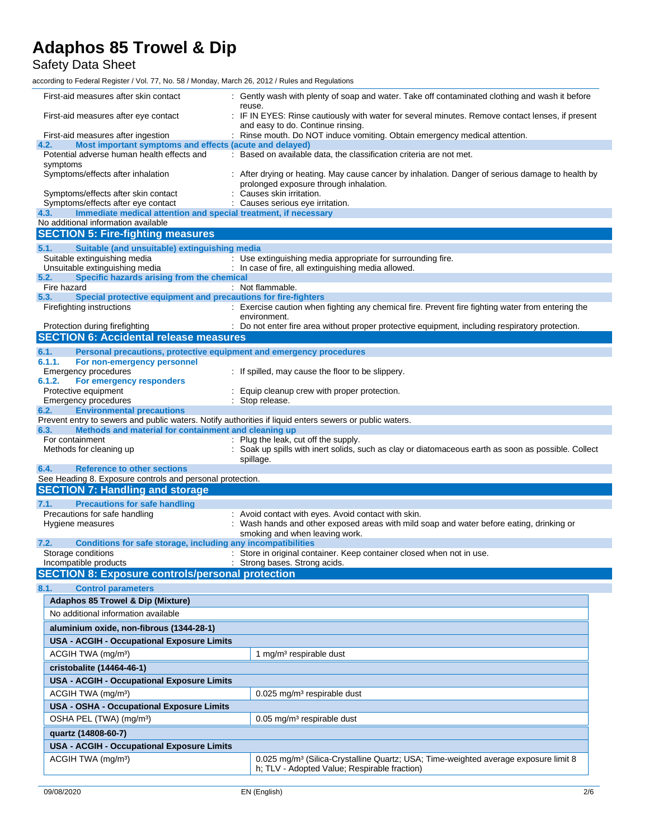Safety Data Sheet

| First-aid measures after skin contact                                                                                                               | : Gently wash with plenty of soap and water. Take off contaminated clothing and wash it before                                                  |  |  |  |
|-----------------------------------------------------------------------------------------------------------------------------------------------------|-------------------------------------------------------------------------------------------------------------------------------------------------|--|--|--|
| First-aid measures after eye contact                                                                                                                | reuse.<br>: IF IN EYES: Rinse cautiously with water for several minutes. Remove contact lenses, if present                                      |  |  |  |
|                                                                                                                                                     | and easy to do. Continue rinsing.                                                                                                               |  |  |  |
| First-aid measures after ingestion                                                                                                                  | : Rinse mouth. Do NOT induce vomiting. Obtain emergency medical attention.                                                                      |  |  |  |
| 4.2.<br>Most important symptoms and effects (acute and delayed)<br>Potential adverse human health effects and                                       | : Based on available data, the classification criteria are not met.                                                                             |  |  |  |
| symptoms                                                                                                                                            |                                                                                                                                                 |  |  |  |
| Symptoms/effects after inhalation                                                                                                                   | : After drying or heating. May cause cancer by inhalation. Danger of serious damage to health by<br>prolonged exposure through inhalation.      |  |  |  |
| Symptoms/effects after skin contact<br>Symptoms/effects after eye contact                                                                           | : Causes skin irritation.                                                                                                                       |  |  |  |
| Immediate medical attention and special treatment, if necessary<br>4.3.                                                                             | : Causes serious eye irritation.                                                                                                                |  |  |  |
| No additional information available                                                                                                                 |                                                                                                                                                 |  |  |  |
| <b>SECTION 5: Fire-fighting measures</b>                                                                                                            |                                                                                                                                                 |  |  |  |
| Suitable (and unsuitable) extinguishing media<br>5.1.                                                                                               |                                                                                                                                                 |  |  |  |
| Suitable extinguishing media                                                                                                                        | : Use extinguishing media appropriate for surrounding fire.                                                                                     |  |  |  |
| Unsuitable extinguishing media                                                                                                                      | : In case of fire, all extinguishing media allowed.                                                                                             |  |  |  |
| 5.2.<br>Specific hazards arising from the chemical<br>Fire hazard                                                                                   | : Not flammable.                                                                                                                                |  |  |  |
| Special protective equipment and precautions for fire-fighters<br>5.3.                                                                              |                                                                                                                                                 |  |  |  |
| Firefighting instructions                                                                                                                           | : Exercise caution when fighting any chemical fire. Prevent fire fighting water from entering the<br>environment.                               |  |  |  |
| Protection during firefighting                                                                                                                      | : Do not enter fire area without proper protective equipment, including respiratory protection.                                                 |  |  |  |
| <b>SECTION 6: Accidental release measures</b>                                                                                                       |                                                                                                                                                 |  |  |  |
| Personal precautions, protective equipment and emergency procedures<br>6.1.                                                                         |                                                                                                                                                 |  |  |  |
| 6.1.1.<br>For non-emergency personnel<br>Emergency procedures                                                                                       |                                                                                                                                                 |  |  |  |
| 6.1.2.<br>For emergency responders                                                                                                                  | : If spilled, may cause the floor to be slippery.                                                                                               |  |  |  |
| Protective equipment                                                                                                                                | Equip cleanup crew with proper protection.                                                                                                      |  |  |  |
| Emergency procedures                                                                                                                                | : Stop release.                                                                                                                                 |  |  |  |
| <b>Environmental precautions</b><br>6.2.<br>Prevent entry to sewers and public waters. Notify authorities if liquid enters sewers or public waters. |                                                                                                                                                 |  |  |  |
| Methods and material for containment and cleaning up<br>6.3.                                                                                        |                                                                                                                                                 |  |  |  |
| For containment                                                                                                                                     | : Plug the leak, cut off the supply.                                                                                                            |  |  |  |
| Methods for cleaning up                                                                                                                             | : Soak up spills with inert solids, such as clay or diatomaceous earth as soon as possible. Collect<br>spillage.                                |  |  |  |
| <b>Reference to other sections</b><br>6.4.                                                                                                          |                                                                                                                                                 |  |  |  |
| See Heading 8. Exposure controls and personal protection.<br><b>SECTION 7: Handling and storage</b>                                                 |                                                                                                                                                 |  |  |  |
|                                                                                                                                                     |                                                                                                                                                 |  |  |  |
| <b>Precautions for safe handling</b><br>7.1.<br>Precautions for safe handling                                                                       | : Avoid contact with eyes. Avoid contact with skin.                                                                                             |  |  |  |
| Hygiene measures                                                                                                                                    | : Wash hands and other exposed areas with mild soap and water before eating, drinking or<br>smoking and when leaving work.                      |  |  |  |
| Conditions for safe storage, including any incompatibilities<br>7.2.                                                                                |                                                                                                                                                 |  |  |  |
| Storage conditions                                                                                                                                  | : Store in original container. Keep container closed when not in use.<br>: Strong bases. Strong acids.                                          |  |  |  |
| Incompatible products<br><b>SECTION 8: Exposure controls/personal protection</b>                                                                    |                                                                                                                                                 |  |  |  |
|                                                                                                                                                     |                                                                                                                                                 |  |  |  |
| 8.1.<br><b>Control parameters</b>                                                                                                                   |                                                                                                                                                 |  |  |  |
| <b>Adaphos 85 Trowel &amp; Dip (Mixture)</b>                                                                                                        |                                                                                                                                                 |  |  |  |
| No additional information available                                                                                                                 |                                                                                                                                                 |  |  |  |
| aluminium oxide, non-fibrous (1344-28-1)                                                                                                            |                                                                                                                                                 |  |  |  |
| <b>USA - ACGIH - Occupational Exposure Limits</b>                                                                                                   |                                                                                                                                                 |  |  |  |
| ACGIH TWA (mg/m <sup>3</sup> )                                                                                                                      | 1 mg/m <sup>3</sup> respirable dust                                                                                                             |  |  |  |
| cristobalite (14464-46-1)                                                                                                                           |                                                                                                                                                 |  |  |  |
| <b>USA - ACGIH - Occupational Exposure Limits</b>                                                                                                   |                                                                                                                                                 |  |  |  |
| ACGIH TWA (mg/m <sup>3</sup> )                                                                                                                      | $0.025$ mg/m <sup>3</sup> respirable dust                                                                                                       |  |  |  |
| <b>USA - OSHA - Occupational Exposure Limits</b>                                                                                                    |                                                                                                                                                 |  |  |  |
| OSHA PEL (TWA) (mg/m <sup>3</sup> )                                                                                                                 |                                                                                                                                                 |  |  |  |
|                                                                                                                                                     | 0.05 mg/m <sup>3</sup> respirable dust                                                                                                          |  |  |  |
|                                                                                                                                                     |                                                                                                                                                 |  |  |  |
| quartz (14808-60-7)                                                                                                                                 |                                                                                                                                                 |  |  |  |
| <b>USA - ACGIH - Occupational Exposure Limits</b>                                                                                                   |                                                                                                                                                 |  |  |  |
| ACGIH TWA (mg/m <sup>3</sup> )                                                                                                                      | 0.025 mg/m <sup>3</sup> (Silica-Crystalline Quartz; USA; Time-weighted average exposure limit 8<br>h; TLV - Adopted Value; Respirable fraction) |  |  |  |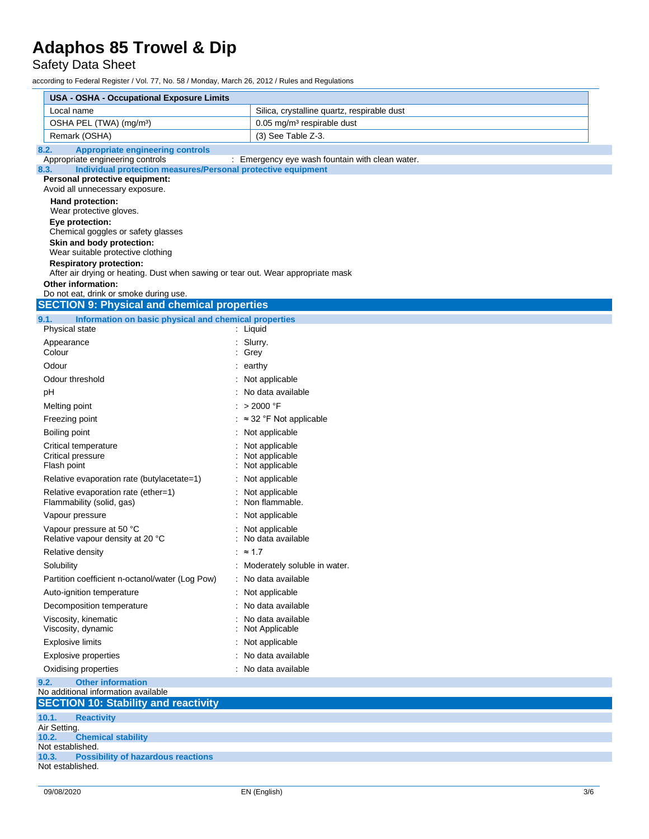Safety Data Sheet

| USA - OSHA - Occupational Exposure Limits                                                                |                                                 |  |  |  |  |
|----------------------------------------------------------------------------------------------------------|-------------------------------------------------|--|--|--|--|
| Local name                                                                                               | Silica, crystalline quartz, respirable dust     |  |  |  |  |
| OSHA PEL (TWA) (mg/m <sup>3</sup> )                                                                      | $0.05$ mg/m <sup>3</sup> respirable dust        |  |  |  |  |
| Remark (OSHA)                                                                                            | (3) See Table Z-3.                              |  |  |  |  |
| <b>Appropriate engineering controls</b><br>8.2.                                                          |                                                 |  |  |  |  |
| Appropriate engineering controls<br>Individual protection measures/Personal protective equipment<br>8.3. | : Emergency eye wash fountain with clean water. |  |  |  |  |
| Personal protective equipment:                                                                           |                                                 |  |  |  |  |
| Avoid all unnecessary exposure.                                                                          |                                                 |  |  |  |  |
| Hand protection:                                                                                         |                                                 |  |  |  |  |
| Wear protective gloves.<br>Eye protection:                                                               |                                                 |  |  |  |  |
| Chemical goggles or safety glasses                                                                       |                                                 |  |  |  |  |
| Skin and body protection:                                                                                |                                                 |  |  |  |  |
| Wear suitable protective clothing<br><b>Respiratory protection:</b>                                      |                                                 |  |  |  |  |
| After air drying or heating. Dust when sawing or tear out. Wear appropriate mask                         |                                                 |  |  |  |  |
| <b>Other information:</b>                                                                                |                                                 |  |  |  |  |
| Do not eat, drink or smoke during use.                                                                   |                                                 |  |  |  |  |
| <b>SECTION 9: Physical and chemical properties</b>                                                       |                                                 |  |  |  |  |
| 9.1.<br>Information on basic physical and chemical properties<br>Physical state                          | : Liquid                                        |  |  |  |  |
| Appearance                                                                                               | : Slurry.                                       |  |  |  |  |
| Colour                                                                                                   | : Grey                                          |  |  |  |  |
| Odour                                                                                                    | : earthy                                        |  |  |  |  |
| Odour threshold                                                                                          | : Not applicable                                |  |  |  |  |
| рH                                                                                                       | : No data available                             |  |  |  |  |
| Melting point                                                                                            | : $>2000$ °F                                    |  |  |  |  |
| Freezing point                                                                                           | $:$ $\approx$ 32 °F Not applicable              |  |  |  |  |
| Boiling point                                                                                            | : Not applicable                                |  |  |  |  |
| Critical temperature                                                                                     | Not applicable                                  |  |  |  |  |
| Critical pressure<br>Flash point                                                                         | Not applicable<br>Not applicable                |  |  |  |  |
| Relative evaporation rate (butylacetate=1)                                                               | : Not applicable                                |  |  |  |  |
| Relative evaporation rate (ether=1)                                                                      | Not applicable                                  |  |  |  |  |
| Flammability (solid, gas)                                                                                | Non flammable.                                  |  |  |  |  |
| Vapour pressure                                                                                          | Not applicable                                  |  |  |  |  |
| Vapour pressure at 50 °C<br>Relative vapour density at 20 °C                                             | Not applicable<br>: No data available           |  |  |  |  |
| Relative density                                                                                         | : $\approx$ 1.7                                 |  |  |  |  |
| Solubility                                                                                               | : Moderately soluble in water.                  |  |  |  |  |
| Partition coefficient n-octanol/water (Log Pow)                                                          | : No data available                             |  |  |  |  |
| Auto-ignition temperature                                                                                | : Not applicable                                |  |  |  |  |
| Decomposition temperature                                                                                | : No data available                             |  |  |  |  |
| Viscosity, kinematic                                                                                     | No data available                               |  |  |  |  |
| Viscosity, dynamic                                                                                       | Not Applicable                                  |  |  |  |  |
| <b>Explosive limits</b>                                                                                  | Not applicable                                  |  |  |  |  |
| <b>Explosive properties</b>                                                                              | No data available                               |  |  |  |  |
| Oxidising properties                                                                                     | : No data available                             |  |  |  |  |
| <b>Other information</b><br>9.2.                                                                         |                                                 |  |  |  |  |
| No additional information available<br><b>SECTION 10: Stability and reactivity</b>                       |                                                 |  |  |  |  |
| 10.1.<br><b>Reactivity</b>                                                                               |                                                 |  |  |  |  |
| Air Setting.                                                                                             |                                                 |  |  |  |  |
| <b>Chemical stability</b><br>10.2.                                                                       |                                                 |  |  |  |  |
| Not established.<br>10.3.<br><b>Possibility of hazardous reactions</b>                                   |                                                 |  |  |  |  |
| Not established.                                                                                         |                                                 |  |  |  |  |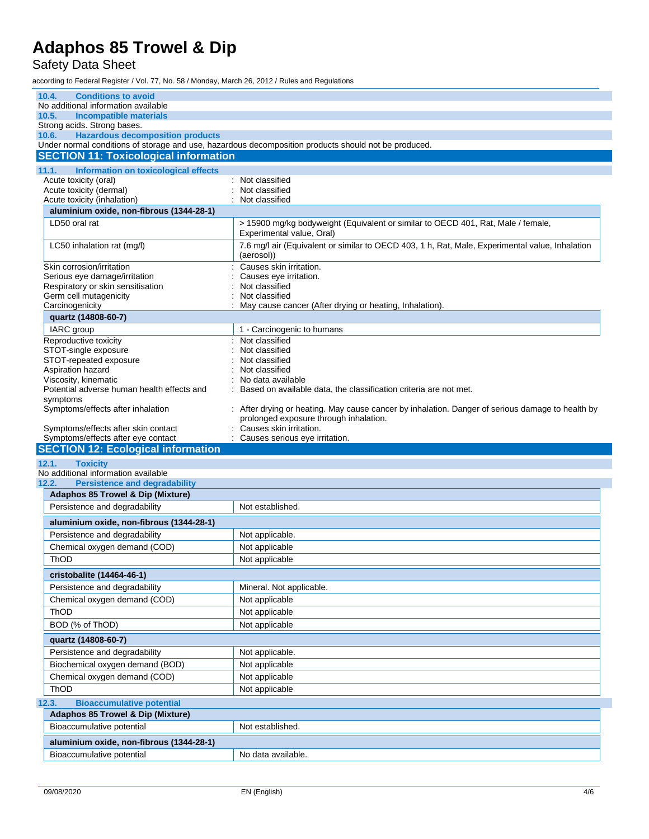#### Safety Data Sheet

| 10.4.<br><b>Conditions to avoid</b>                                                                                                                                             |                                                                                                               |  |  |  |
|---------------------------------------------------------------------------------------------------------------------------------------------------------------------------------|---------------------------------------------------------------------------------------------------------------|--|--|--|
| No additional information available                                                                                                                                             |                                                                                                               |  |  |  |
| 10.5.<br><b>Incompatible materials</b>                                                                                                                                          |                                                                                                               |  |  |  |
| Strong acids. Strong bases.<br><b>Hazardous decomposition products</b><br>10.6.                                                                                                 |                                                                                                               |  |  |  |
|                                                                                                                                                                                 | Under normal conditions of storage and use, hazardous decomposition products should not be produced.          |  |  |  |
| <b>SECTION 11: Toxicological information</b>                                                                                                                                    |                                                                                                               |  |  |  |
| 11.1.<br>Information on toxicological effects                                                                                                                                   |                                                                                                               |  |  |  |
| Acute toxicity (oral)                                                                                                                                                           | : Not classified                                                                                              |  |  |  |
| Acute toxicity (dermal)                                                                                                                                                         | Not classified                                                                                                |  |  |  |
| Acute toxicity (inhalation)                                                                                                                                                     | Not classified                                                                                                |  |  |  |
| aluminium oxide, non-fibrous (1344-28-1)                                                                                                                                        |                                                                                                               |  |  |  |
| LD50 oral rat                                                                                                                                                                   | > 15900 mg/kg bodyweight (Equivalent or similar to OECD 401, Rat, Male / female,<br>Experimental value, Oral) |  |  |  |
| LC50 inhalation rat (mg/l)                                                                                                                                                      | 7.6 mg/l air (Equivalent or similar to OECD 403, 1 h, Rat, Male, Experimental value, Inhalation<br>(aerosol)) |  |  |  |
| Causes skin irritation.<br>Skin corrosion/irritation                                                                                                                            |                                                                                                               |  |  |  |
| Serious eye damage/irritation                                                                                                                                                   | Causes eye irritation.                                                                                        |  |  |  |
| Respiratory or skin sensitisation<br>Germ cell mutagenicity                                                                                                                     | Not classified<br>Not classified                                                                              |  |  |  |
| Carcinogenicity                                                                                                                                                                 | May cause cancer (After drying or heating, Inhalation).                                                       |  |  |  |
| quartz (14808-60-7)                                                                                                                                                             |                                                                                                               |  |  |  |
| IARC group                                                                                                                                                                      | 1 - Carcinogenic to humans                                                                                    |  |  |  |
| Reproductive toxicity                                                                                                                                                           | Not classified                                                                                                |  |  |  |
| STOT-single exposure                                                                                                                                                            | Not classified                                                                                                |  |  |  |
| STOT-repeated exposure                                                                                                                                                          | Not classified                                                                                                |  |  |  |
| Aspiration hazard                                                                                                                                                               | Not classified                                                                                                |  |  |  |
| Viscosity, kinematic<br>Potential adverse human health effects and                                                                                                              | No data available<br>Based on available data, the classification criteria are not met.                        |  |  |  |
| symptoms                                                                                                                                                                        |                                                                                                               |  |  |  |
| Symptoms/effects after inhalation<br>: After drying or heating. May cause cancer by inhalation. Danger of serious damage to health by<br>prolonged exposure through inhalation. |                                                                                                               |  |  |  |
| Symptoms/effects after skin contact                                                                                                                                             | Causes skin irritation.                                                                                       |  |  |  |
|                                                                                                                                                                                 |                                                                                                               |  |  |  |
| Symptoms/effects after eye contact                                                                                                                                              | Causes serious eye irritation.                                                                                |  |  |  |
| <b>SECTION 12: Ecological information</b>                                                                                                                                       |                                                                                                               |  |  |  |
| <b>Toxicity</b><br>12.1.                                                                                                                                                        |                                                                                                               |  |  |  |
| No additional information available                                                                                                                                             |                                                                                                               |  |  |  |
| <b>Persistence and degradability</b><br>12.2.                                                                                                                                   |                                                                                                               |  |  |  |
| <b>Adaphos 85 Trowel &amp; Dip (Mixture)</b>                                                                                                                                    |                                                                                                               |  |  |  |
| Persistence and degradability                                                                                                                                                   | Not established.                                                                                              |  |  |  |
| aluminium oxide, non-fibrous (1344-28-1)                                                                                                                                        |                                                                                                               |  |  |  |
| Persistence and degradability                                                                                                                                                   | Not applicable.                                                                                               |  |  |  |
| Chemical oxygen demand (COD)                                                                                                                                                    | Not applicable                                                                                                |  |  |  |
| ThOD                                                                                                                                                                            | Not applicable                                                                                                |  |  |  |
| cristobalite (14464-46-1)                                                                                                                                                       |                                                                                                               |  |  |  |
| Persistence and degradability                                                                                                                                                   | Mineral. Not applicable.                                                                                      |  |  |  |
| Chemical oxygen demand (COD)                                                                                                                                                    | Not applicable                                                                                                |  |  |  |
| ThOD                                                                                                                                                                            | Not applicable                                                                                                |  |  |  |
| BOD (% of ThOD)                                                                                                                                                                 |                                                                                                               |  |  |  |
| quartz (14808-60-7)                                                                                                                                                             | Not applicable                                                                                                |  |  |  |
| Persistence and degradability                                                                                                                                                   | Not applicable.                                                                                               |  |  |  |
| Biochemical oxygen demand (BOD)                                                                                                                                                 | Not applicable                                                                                                |  |  |  |
| Chemical oxygen demand (COD)                                                                                                                                                    | Not applicable                                                                                                |  |  |  |
| <b>ThOD</b>                                                                                                                                                                     | Not applicable                                                                                                |  |  |  |
|                                                                                                                                                                                 |                                                                                                               |  |  |  |
| <b>Bioaccumulative potential</b><br>12.3.<br><b>Adaphos 85 Trowel &amp; Dip (Mixture)</b>                                                                                       |                                                                                                               |  |  |  |
| Bioaccumulative potential                                                                                                                                                       | Not established.                                                                                              |  |  |  |
|                                                                                                                                                                                 |                                                                                                               |  |  |  |
| aluminium oxide, non-fibrous (1344-28-1)<br>Bioaccumulative potential                                                                                                           | No data available.                                                                                            |  |  |  |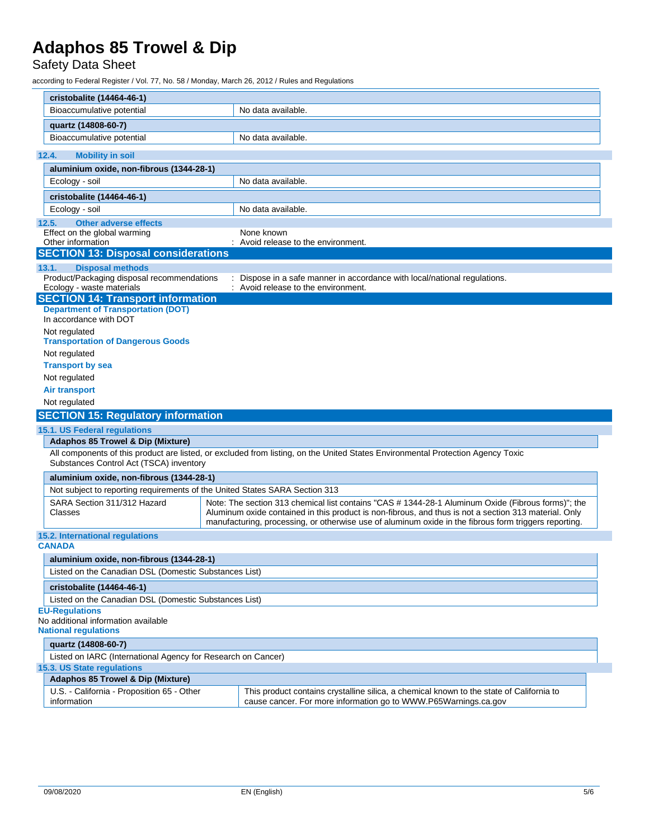### Safety Data Sheet

| cristobalite (14464-46-1)                                                                                                                                                                                                                                                                                                                                      |                                          |                                                                                                                                                             |  |  |  |  |
|----------------------------------------------------------------------------------------------------------------------------------------------------------------------------------------------------------------------------------------------------------------------------------------------------------------------------------------------------------------|------------------------------------------|-------------------------------------------------------------------------------------------------------------------------------------------------------------|--|--|--|--|
| Bioaccumulative potential                                                                                                                                                                                                                                                                                                                                      |                                          | No data available.                                                                                                                                          |  |  |  |  |
|                                                                                                                                                                                                                                                                                                                                                                |                                          |                                                                                                                                                             |  |  |  |  |
| quartz (14808-60-7)                                                                                                                                                                                                                                                                                                                                            |                                          |                                                                                                                                                             |  |  |  |  |
| Bioaccumulative potential                                                                                                                                                                                                                                                                                                                                      |                                          | No data available.                                                                                                                                          |  |  |  |  |
| 12.4.<br><b>Mobility in soil</b>                                                                                                                                                                                                                                                                                                                               |                                          |                                                                                                                                                             |  |  |  |  |
|                                                                                                                                                                                                                                                                                                                                                                | aluminium oxide, non-fibrous (1344-28-1) |                                                                                                                                                             |  |  |  |  |
| Ecology - soil                                                                                                                                                                                                                                                                                                                                                 |                                          | No data available.                                                                                                                                          |  |  |  |  |
| cristobalite (14464-46-1)                                                                                                                                                                                                                                                                                                                                      |                                          |                                                                                                                                                             |  |  |  |  |
| Ecology - soil                                                                                                                                                                                                                                                                                                                                                 |                                          | No data available.                                                                                                                                          |  |  |  |  |
| 12.5.<br><b>Other adverse effects</b>                                                                                                                                                                                                                                                                                                                          |                                          |                                                                                                                                                             |  |  |  |  |
| Effect on the global warming                                                                                                                                                                                                                                                                                                                                   |                                          | None known                                                                                                                                                  |  |  |  |  |
| Other information                                                                                                                                                                                                                                                                                                                                              |                                          | : Avoid release to the environment.                                                                                                                         |  |  |  |  |
| <b>SECTION 13: Disposal considerations</b>                                                                                                                                                                                                                                                                                                                     |                                          |                                                                                                                                                             |  |  |  |  |
| <b>Disposal methods</b><br>13.1.                                                                                                                                                                                                                                                                                                                               |                                          |                                                                                                                                                             |  |  |  |  |
| Product/Packaging disposal recommendations                                                                                                                                                                                                                                                                                                                     |                                          | Dispose in a safe manner in accordance with local/national regulations.                                                                                     |  |  |  |  |
| Ecology - waste materials<br><b>SECTION 14: Transport information</b>                                                                                                                                                                                                                                                                                          |                                          | : Avoid release to the environment.                                                                                                                         |  |  |  |  |
| <b>Department of Transportation (DOT)</b>                                                                                                                                                                                                                                                                                                                      |                                          |                                                                                                                                                             |  |  |  |  |
| In accordance with DOT                                                                                                                                                                                                                                                                                                                                         |                                          |                                                                                                                                                             |  |  |  |  |
| Not regulated<br><b>Transportation of Dangerous Goods</b>                                                                                                                                                                                                                                                                                                      |                                          |                                                                                                                                                             |  |  |  |  |
| Not regulated                                                                                                                                                                                                                                                                                                                                                  |                                          |                                                                                                                                                             |  |  |  |  |
| <b>Transport by sea</b>                                                                                                                                                                                                                                                                                                                                        |                                          |                                                                                                                                                             |  |  |  |  |
| Not regulated                                                                                                                                                                                                                                                                                                                                                  |                                          |                                                                                                                                                             |  |  |  |  |
| <b>Air transport</b>                                                                                                                                                                                                                                                                                                                                           |                                          |                                                                                                                                                             |  |  |  |  |
| Not regulated                                                                                                                                                                                                                                                                                                                                                  |                                          |                                                                                                                                                             |  |  |  |  |
| <b>SECTION 15: Regulatory information</b>                                                                                                                                                                                                                                                                                                                      |                                          |                                                                                                                                                             |  |  |  |  |
| 15.1. US Federal regulations                                                                                                                                                                                                                                                                                                                                   |                                          |                                                                                                                                                             |  |  |  |  |
| Adaphos 85 Trowel & Dip (Mixture)                                                                                                                                                                                                                                                                                                                              |                                          |                                                                                                                                                             |  |  |  |  |
| Substances Control Act (TSCA) inventory                                                                                                                                                                                                                                                                                                                        |                                          | All components of this product are listed, or excluded from listing, on the United States Environmental Protection Agency Toxic                             |  |  |  |  |
| aluminium oxide, non-fibrous (1344-28-1)                                                                                                                                                                                                                                                                                                                       |                                          |                                                                                                                                                             |  |  |  |  |
| Not subject to reporting requirements of the United States SARA Section 313                                                                                                                                                                                                                                                                                    |                                          |                                                                                                                                                             |  |  |  |  |
| SARA Section 311/312 Hazard<br>Note: The section 313 chemical list contains "CAS # 1344-28-1 Aluminum Oxide (Fibrous forms)"; the<br>Aluminum oxide contained in this product is non-fibrous, and thus is not a section 313 material. Only<br>Classes<br>manufacturing, processing, or otherwise use of aluminum oxide in the fibrous form triggers reporting. |                                          |                                                                                                                                                             |  |  |  |  |
| 15.2. International regulations<br><b>CANADA</b>                                                                                                                                                                                                                                                                                                               |                                          |                                                                                                                                                             |  |  |  |  |
|                                                                                                                                                                                                                                                                                                                                                                |                                          |                                                                                                                                                             |  |  |  |  |
| aluminium oxide, non-fibrous (1344-28-1)                                                                                                                                                                                                                                                                                                                       |                                          |                                                                                                                                                             |  |  |  |  |
| Listed on the Canadian DSL (Domestic Substances List)                                                                                                                                                                                                                                                                                                          |                                          |                                                                                                                                                             |  |  |  |  |
| cristobalite (14464-46-1)                                                                                                                                                                                                                                                                                                                                      |                                          |                                                                                                                                                             |  |  |  |  |
| Listed on the Canadian DSL (Domestic Substances List)                                                                                                                                                                                                                                                                                                          |                                          |                                                                                                                                                             |  |  |  |  |
| <b>EU-Regulations</b><br>No additional information available<br><b>National requlations</b>                                                                                                                                                                                                                                                                    |                                          |                                                                                                                                                             |  |  |  |  |
| quartz (14808-60-7)                                                                                                                                                                                                                                                                                                                                            |                                          |                                                                                                                                                             |  |  |  |  |
| Listed on IARC (International Agency for Research on Cancer)                                                                                                                                                                                                                                                                                                   |                                          |                                                                                                                                                             |  |  |  |  |
| 15.3. US State regulations                                                                                                                                                                                                                                                                                                                                     |                                          |                                                                                                                                                             |  |  |  |  |
| <b>Adaphos 85 Trowel &amp; Dip (Mixture)</b>                                                                                                                                                                                                                                                                                                                   |                                          |                                                                                                                                                             |  |  |  |  |
| U.S. - California - Proposition 65 - Other<br>information                                                                                                                                                                                                                                                                                                      |                                          | This product contains crystalline silica, a chemical known to the state of California to<br>cause cancer. For more information go to WWW.P65Warnings.ca.gov |  |  |  |  |
|                                                                                                                                                                                                                                                                                                                                                                |                                          |                                                                                                                                                             |  |  |  |  |